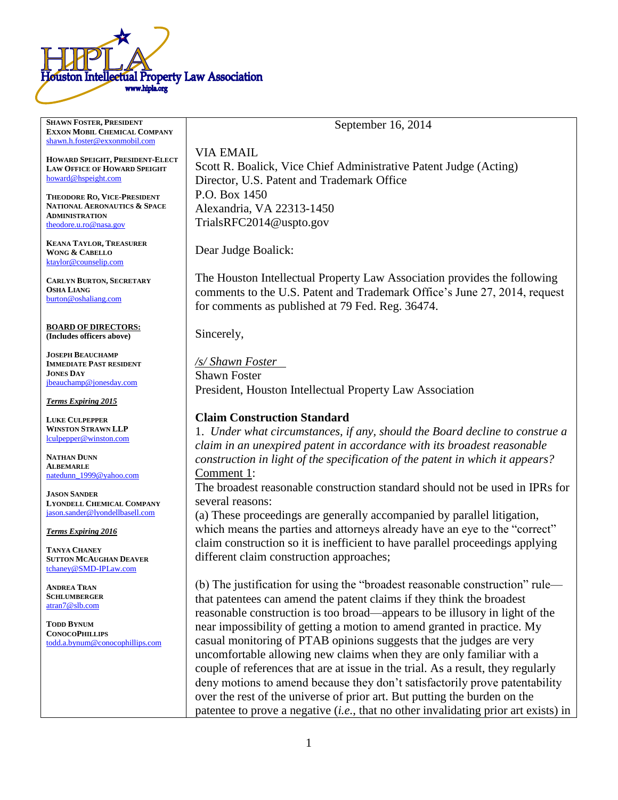

**SHAWN FOSTER, PRESIDENT**

**EXXON MOBIL CHEMICAL COMPANY** [shawn.h.foster@exxonmobil.com](mailto:shawn.h.foster@exxonmobil.com) **HOWARD SPEIGHT, PRESIDENT-ELECT LAW OFFICE OF HOWARD SPEIGHT** [howard@hspeight.com](mailto:howard@hspeight.com) **THEODORE RO, VICE-PRESIDENT NATIONAL AERONAUTICS & SPACE ADMINISTRATION** [theodore.u.ro@nasa.gov](mailto:theodore.u.ro@nasa.gov) **KEANA TAYLOR, TREASURER WONG & CABELLO** [ktaylor@counselip.com](mailto:ktaylor@counselip.com) **CARLYN BURTON, SECRETARY OSHA LIANG** [burton@oshaliang.com](mailto:burton@oshaliang.com) **BOARD OF DIRECTORS: (Includes officers above) JOSEPH BEAUCHAMP IMMEDIATE PAST RESIDENT JONES DAY** [jbeauchamp@jonesday.com](mailto:jbeauchamp@jonesday.com) *Terms Expiring 2015* **LUKE CULPEPPER WINSTON STRAWN LLP** [lculpepper@winston.com](mailto:lculpepper@winston.com) **NATHAN DUNN ALBEMARLE** [natedunn\\_1999@yahoo.com](mailto:natedunn_1999@yahoo.com) **JASON SANDER LYONDELL CHEMICAL COMPANY** [jason.sander@lyondellbasell.com](mailto:jason.sander@lyondellbasell.com) *Terms Expiring 2016* **TANYA CHANEY SUTTON MCAUGHAN DEAVER** [tchaney@SMD-IPLaw.com](mailto:tchaney@SMD-IPLaw.com) VIA EMAIL Director, U.S. Patent and Trademark Office P.O. Box 1450 Alexandria, VA 22313-1450 TrialsRFC2014@uspto.gov Dear Judge Boalick: for comments as published at 79 Fed. Reg. 36474. Sincerely, /s/ Shawn Foster Shawn Foster **Claim Construction Standard** Comment 1: several reasons: different claim construction approaches;

(b) The justification for using the "broadest reasonable construction" rule that patentees can amend the patent claims if they think the broadest reasonable construction is too broad—appears to be illusory in light of the near impossibility of getting a motion to amend granted in practice. My casual monitoring of PTAB opinions suggests that the judges are very uncomfortable allowing new claims when they are only familiar with a couple of references that are at issue in the trial. As a result, they regularly deny motions to amend because they don't satisfactorily prove patentability over the rest of the universe of prior art. But putting the burden on the patentee to prove a negative (*i.e.*, that no other invalidating prior art exists) in

Scott R. Boalick, Vice Chief Administrative Patent Judge (Acting)

The Houston Intellectual Property Law Association provides the following comments to the U.S. Patent and Trademark Office's June 27, 2014, request

President, Houston Intellectual Property Law Association

1. *Under what circumstances, if any, should the Board decline to construe a claim in an unexpired patent in accordance with its broadest reasonable construction in light of the specification of the patent in which it appears?*

The broadest reasonable construction standard should not be used in IPRs for

(a) These proceedings are generally accompanied by parallel litigation, which means the parties and attorneys already have an eye to the "correct" claim construction so it is inefficient to have parallel proceedings applying

**SCHLUMBERGER** [atran7@slb.com](mailto:atran7@slb.com)

**ANDREA TRAN**

**TODD BYNUM CONOCOPHILLIPS** [todd.a.bynum@conocophillips.com](mailto:todd.a.bynum@conocophillips.com)

#### September 16, 2014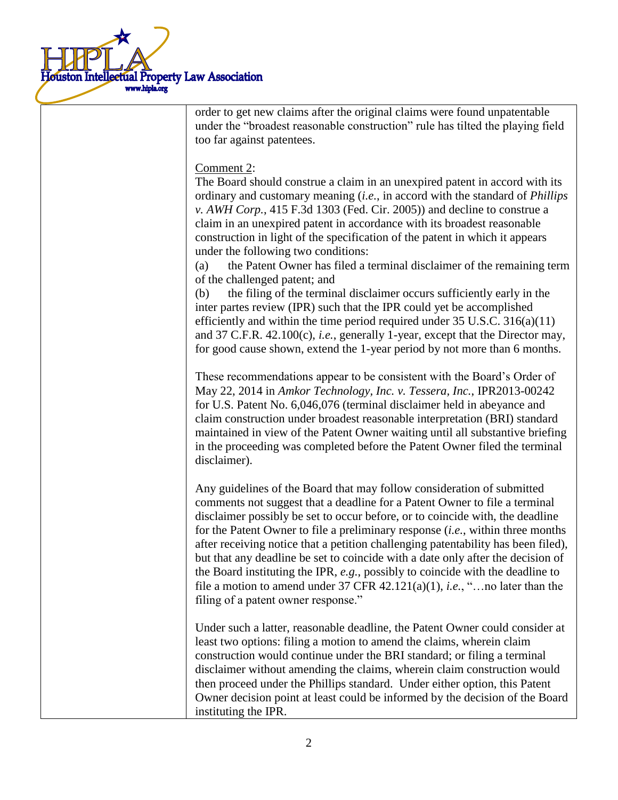

order to get new claims after the original claims were found unpatentable under the "broadest reasonable construction" rule has tilted the playing field too far against patentees.

# Comment 2:

The Board should construe a claim in an unexpired patent in accord with its ordinary and customary meaning (*i.e.*, in accord with the standard of *Phillips v. AWH Corp.*, 415 F.3d 1303 (Fed. Cir. 2005)) and decline to construe a claim in an unexpired patent in accordance with its broadest reasonable construction in light of the specification of the patent in which it appears under the following two conditions:

(a) the Patent Owner has filed a terminal disclaimer of the remaining term of the challenged patent; and

(b) the filing of the terminal disclaimer occurs sufficiently early in the inter partes review (IPR) such that the IPR could yet be accomplished efficiently and within the time period required under  $35 \text{ U.S.C. } 316(a)(11)$ and 37 C.F.R. 42.100(c), *i.e.*, generally 1-year, except that the Director may, for good cause shown, extend the 1-year period by not more than 6 months.

These recommendations appear to be consistent with the Board's Order of May 22, 2014 in *Amkor Technology, Inc. v. Tessera, Inc.*, IPR2013-00242 for U.S. Patent No. 6,046,076 (terminal disclaimer held in abeyance and claim construction under broadest reasonable interpretation (BRI) standard maintained in view of the Patent Owner waiting until all substantive briefing in the proceeding was completed before the Patent Owner filed the terminal disclaimer).

Any guidelines of the Board that may follow consideration of submitted comments not suggest that a deadline for a Patent Owner to file a terminal disclaimer possibly be set to occur before, or to coincide with, the deadline for the Patent Owner to file a preliminary response (*i.e.*, within three months after receiving notice that a petition challenging patentability has been filed), but that any deadline be set to coincide with a date only after the decision of the Board instituting the IPR, *e.g.*, possibly to coincide with the deadline to file a motion to amend under 37 CFR 42.121(a)(1), *i.e.*, "…no later than the filing of a patent owner response."

Under such a latter, reasonable deadline, the Patent Owner could consider at least two options: filing a motion to amend the claims, wherein claim construction would continue under the BRI standard; or filing a terminal disclaimer without amending the claims, wherein claim construction would then proceed under the Phillips standard. Under either option, this Patent Owner decision point at least could be informed by the decision of the Board instituting the IPR.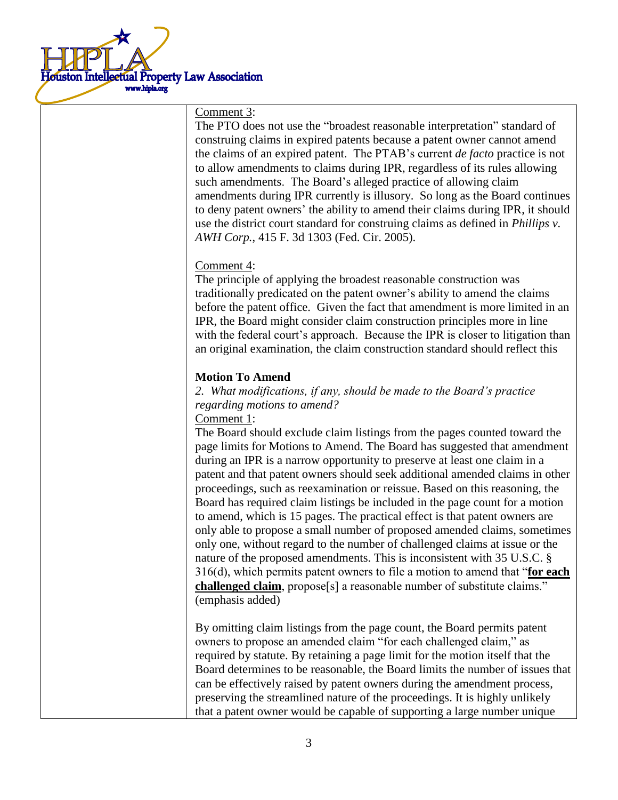

#### Comment 3:

The PTO does not use the "broadest reasonable interpretation" standard of construing claims in expired patents because a patent owner cannot amend the claims of an expired patent. The PTAB's current *de facto* practice is not to allow amendments to claims during IPR, regardless of its rules allowing such amendments. The Board's alleged practice of allowing claim amendments during IPR currently is illusory. So long as the Board continues to deny patent owners' the ability to amend their claims during IPR, it should use the district court standard for construing claims as defined in *Phillips v. AWH Corp.*, 415 F. 3d 1303 (Fed. Cir. 2005).

#### Comment 4:

The principle of applying the broadest reasonable construction was traditionally predicated on the patent owner's ability to amend the claims before the patent office. Given the fact that amendment is more limited in an IPR, the Board might consider claim construction principles more in line with the federal court's approach. Because the IPR is closer to litigation than an original examination, the claim construction standard should reflect this

# **Motion To Amend**

*2. What modifications, if any, should be made to the Board's practice regarding motions to amend?*

Comment 1:

The Board should exclude claim listings from the pages counted toward the page limits for Motions to Amend. The Board has suggested that amendment during an IPR is a narrow opportunity to preserve at least one claim in a patent and that patent owners should seek additional amended claims in other proceedings, such as reexamination or reissue. Based on this reasoning, the Board has required claim listings be included in the page count for a motion to amend, which is 15 pages. The practical effect is that patent owners are only able to propose a small number of proposed amended claims, sometimes only one, without regard to the number of challenged claims at issue or the nature of the proposed amendments. This is inconsistent with 35 U.S.C. § 316(d), which permits patent owners to file a motion to amend that "**for each challenged claim**, propose[s] a reasonable number of substitute claims." (emphasis added)

By omitting claim listings from the page count, the Board permits patent owners to propose an amended claim "for each challenged claim," as required by statute. By retaining a page limit for the motion itself that the Board determines to be reasonable, the Board limits the number of issues that can be effectively raised by patent owners during the amendment process, preserving the streamlined nature of the proceedings. It is highly unlikely that a patent owner would be capable of supporting a large number unique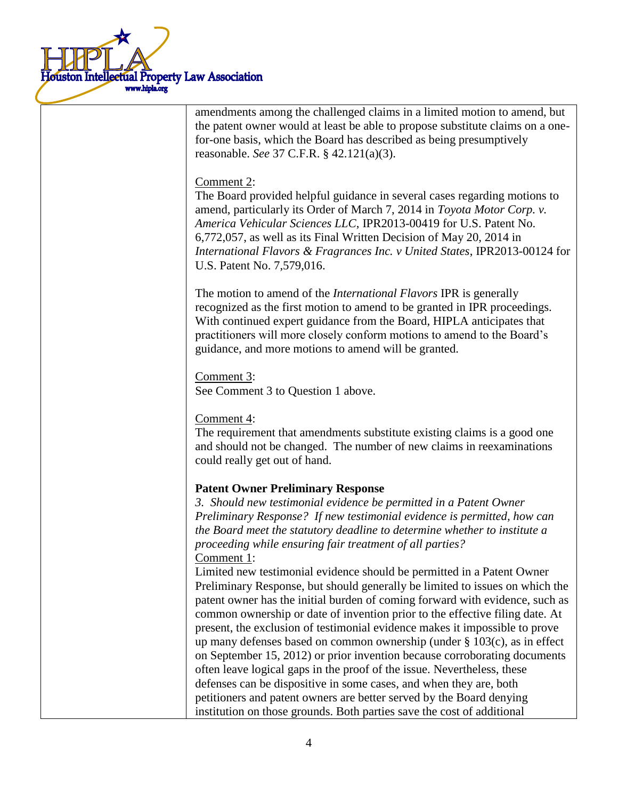

amendments among the challenged claims in a limited motion to amend, but the patent owner would at least be able to propose substitute claims on a onefor-one basis, which the Board has described as being presumptively reasonable. *See* 37 C.F.R. § 42.121(a)(3).

# Comment 2:

The Board provided helpful guidance in several cases regarding motions to amend, particularly its Order of March 7, 2014 in *Toyota Motor Corp. v. America Vehicular Sciences LLC*, IPR2013-00419 for U.S. Patent No. 6,772,057, as well as its Final Written Decision of May 20, 2014 in *International Flavors & Fragrances Inc. v United States*, IPR2013-00124 for U.S. Patent No. 7,579,016.

The motion to amend of the *International Flavors* IPR is generally recognized as the first motion to amend to be granted in IPR proceedings. With continued expert guidance from the Board, HIPLA anticipates that practitioners will more closely conform motions to amend to the Board's guidance, and more motions to amend will be granted.

Comment 3: See Comment 3 to Question 1 above.

Comment 4:

The requirement that amendments substitute existing claims is a good one and should not be changed. The number of new claims in reexaminations could really get out of hand.

#### **Patent Owner Preliminary Response**

*3. Should new testimonial evidence be permitted in a Patent Owner Preliminary Response? If new testimonial evidence is permitted, how can the Board meet the statutory deadline to determine whether to institute a proceeding while ensuring fair treatment of all parties?* Comment 1:

Limited new testimonial evidence should be permitted in a Patent Owner Preliminary Response, but should generally be limited to issues on which the patent owner has the initial burden of coming forward with evidence, such as common ownership or date of invention prior to the effective filing date. At present, the exclusion of testimonial evidence makes it impossible to prove up many defenses based on common ownership (under § 103(c), as in effect on September 15, 2012) or prior invention because corroborating documents often leave logical gaps in the proof of the issue. Nevertheless, these defenses can be dispositive in some cases, and when they are, both petitioners and patent owners are better served by the Board denying institution on those grounds. Both parties save the cost of additional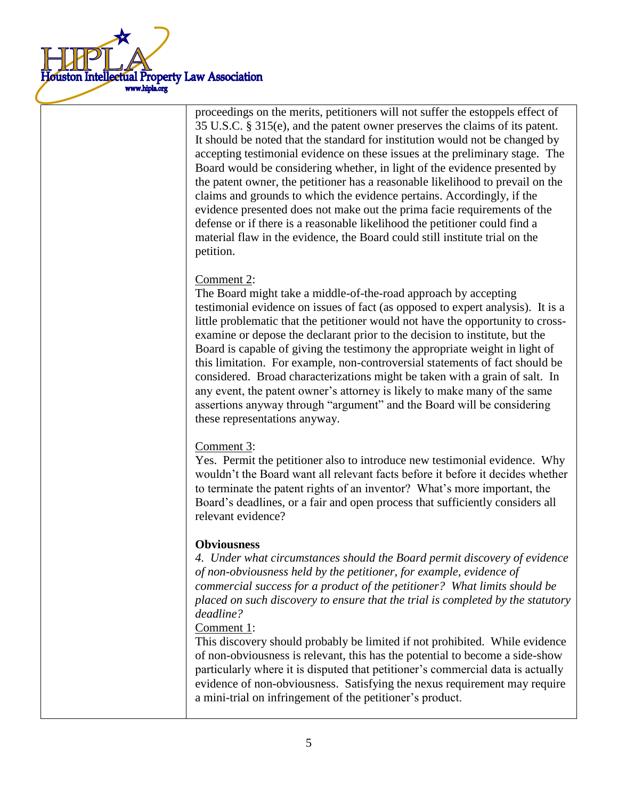

proceedings on the merits, petitioners will not suffer the estoppels effect of 35 U.S.C. § 315(e), and the patent owner preserves the claims of its patent. It should be noted that the standard for institution would not be changed by accepting testimonial evidence on these issues at the preliminary stage. The Board would be considering whether, in light of the evidence presented by the patent owner, the petitioner has a reasonable likelihood to prevail on the claims and grounds to which the evidence pertains. Accordingly, if the evidence presented does not make out the prima facie requirements of the defense or if there is a reasonable likelihood the petitioner could find a material flaw in the evidence, the Board could still institute trial on the petition.

# Comment 2:

The Board might take a middle-of-the-road approach by accepting testimonial evidence on issues of fact (as opposed to expert analysis). It is a little problematic that the petitioner would not have the opportunity to crossexamine or depose the declarant prior to the decision to institute, but the Board is capable of giving the testimony the appropriate weight in light of this limitation. For example, non-controversial statements of fact should be considered. Broad characterizations might be taken with a grain of salt. In any event, the patent owner's attorney is likely to make many of the same assertions anyway through "argument" and the Board will be considering these representations anyway.

# Comment 3:

Yes. Permit the petitioner also to introduce new testimonial evidence. Why wouldn't the Board want all relevant facts before it before it decides whether to terminate the patent rights of an inventor? What's more important, the Board's deadlines, or a fair and open process that sufficiently considers all relevant evidence?

# **Obviousness**

*4. Under what circumstances should the Board permit discovery of evidence of non-obviousness held by the petitioner, for example, evidence of commercial success for a product of the petitioner? What limits should be placed on such discovery to ensure that the trial is completed by the statutory deadline?*

#### Comment 1:

This discovery should probably be limited if not prohibited. While evidence of non-obviousness is relevant, this has the potential to become a side-show particularly where it is disputed that petitioner's commercial data is actually evidence of non-obviousness. Satisfying the nexus requirement may require a mini-trial on infringement of the petitioner's product.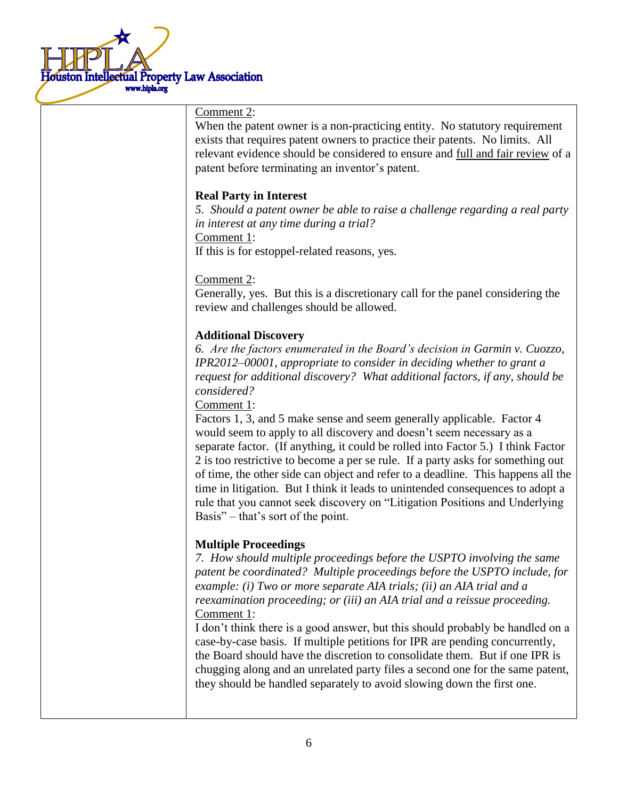

#### Comment 2:

When the patent owner is a non-practicing entity. No statutory requirement exists that requires patent owners to practice their patents. No limits. All relevant evidence should be considered to ensure and full and fair review of a patent before terminating an inventor's patent.

# **Real Party in Interest**

*5. Should a patent owner be able to raise a challenge regarding a real party in interest at any time during a trial?*

Comment 1:

If this is for estoppel-related reasons, yes.

Comment 2:

Generally, yes. But this is a discretionary call for the panel considering the review and challenges should be allowed.

#### **Additional Discovery**

*6. Are the factors enumerated in the Board's decision in Garmin v. Cuozzo, IPR2012–00001, appropriate to consider in deciding whether to grant a request for additional discovery? What additional factors, if any, should be considered?*

Comment 1:

Factors 1, 3, and 5 make sense and seem generally applicable. Factor 4 would seem to apply to all discovery and doesn't seem necessary as a separate factor. (If anything, it could be rolled into Factor 5.) I think Factor 2 is too restrictive to become a per se rule. If a party asks for something out of time, the other side can object and refer to a deadline. This happens all the time in litigation. But I think it leads to unintended consequences to adopt a rule that you cannot seek discovery on "Litigation Positions and Underlying Basis" – that's sort of the point.

# **Multiple Proceedings**

*7. How should multiple proceedings before the USPTO involving the same patent be coordinated? Multiple proceedings before the USPTO include, for example: (i) Two or more separate AIA trials; (ii) an AIA trial and a reexamination proceeding; or (iii) an AIA trial and a reissue proceeding.*  Comment 1:

I don't think there is a good answer, but this should probably be handled on a case-by-case basis. If multiple petitions for IPR are pending concurrently, the Board should have the discretion to consolidate them. But if one IPR is chugging along and an unrelated party files a second one for the same patent, they should be handled separately to avoid slowing down the first one.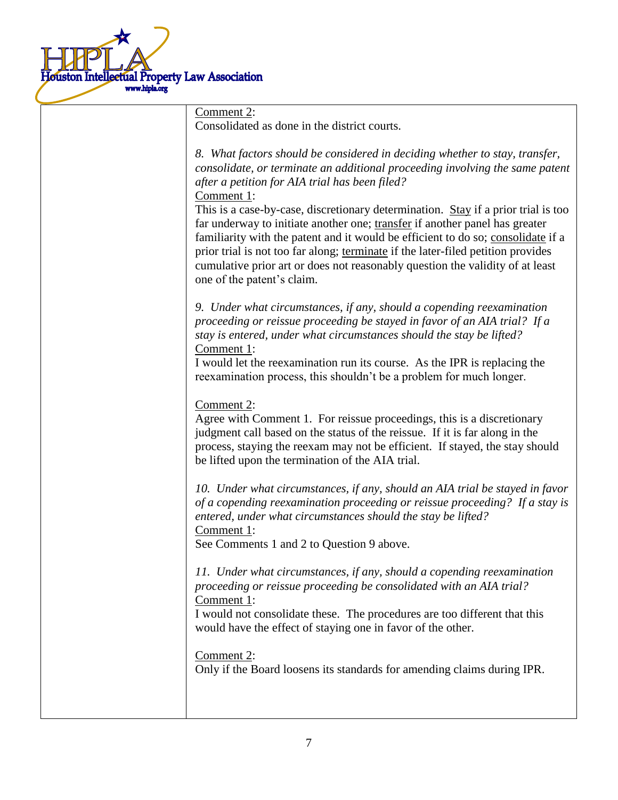

| Comment 2:                                                                                                                                                                                                                                                                                                                                                                                                                                                                                                                                                                                                                                                                             |
|----------------------------------------------------------------------------------------------------------------------------------------------------------------------------------------------------------------------------------------------------------------------------------------------------------------------------------------------------------------------------------------------------------------------------------------------------------------------------------------------------------------------------------------------------------------------------------------------------------------------------------------------------------------------------------------|
| Consolidated as done in the district courts.                                                                                                                                                                                                                                                                                                                                                                                                                                                                                                                                                                                                                                           |
| 8. What factors should be considered in deciding whether to stay, transfer,<br>consolidate, or terminate an additional proceeding involving the same patent<br>after a petition for AIA trial has been filed?<br>Comment 1:<br>This is a case-by-case, discretionary determination. Stay if a prior trial is too<br>far underway to initiate another one; transfer if another panel has greater<br>familiarity with the patent and it would be efficient to do so; consolidate if a<br>prior trial is not too far along; terminate if the later-filed petition provides<br>cumulative prior art or does not reasonably question the validity of at least<br>one of the patent's claim. |
|                                                                                                                                                                                                                                                                                                                                                                                                                                                                                                                                                                                                                                                                                        |
| 9. Under what circumstances, if any, should a copending reexamination<br>proceeding or reissue proceeding be stayed in favor of an AIA trial? If a<br>stay is entered, under what circumstances should the stay be lifted?<br>Comment 1:<br>I would let the reexamination run its course. As the IPR is replacing the<br>reexamination process, this shouldn't be a problem for much longer.                                                                                                                                                                                                                                                                                           |
|                                                                                                                                                                                                                                                                                                                                                                                                                                                                                                                                                                                                                                                                                        |
| Comment 2:<br>Agree with Comment 1. For reissue proceedings, this is a discretionary<br>judgment call based on the status of the reissue. If it is far along in the<br>process, staying the reexam may not be efficient. If stayed, the stay should<br>be lifted upon the termination of the AIA trial.                                                                                                                                                                                                                                                                                                                                                                                |
| 10. Under what circumstances, if any, should an AIA trial be stayed in favor<br>of a copending reexamination proceeding or reissue proceeding? If a stay is<br>entered, under what circumstances should the stay be lifted?<br>Comment 1:<br>See Comments 1 and 2 to Question 9 above.                                                                                                                                                                                                                                                                                                                                                                                                 |
| 11. Under what circumstances, if any, should a copending reexamination<br>proceeding or reissue proceeding be consolidated with an AIA trial?<br>Comment 1:<br>I would not consolidate these. The procedures are too different that this<br>would have the effect of staying one in favor of the other.                                                                                                                                                                                                                                                                                                                                                                                |
| Comment 2:<br>Only if the Board loosens its standards for amending claims during IPR.                                                                                                                                                                                                                                                                                                                                                                                                                                                                                                                                                                                                  |
|                                                                                                                                                                                                                                                                                                                                                                                                                                                                                                                                                                                                                                                                                        |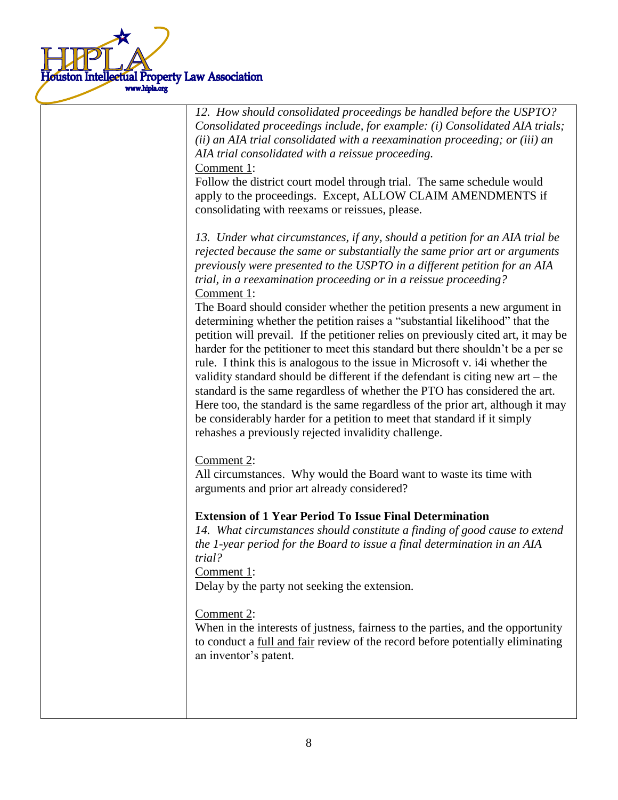